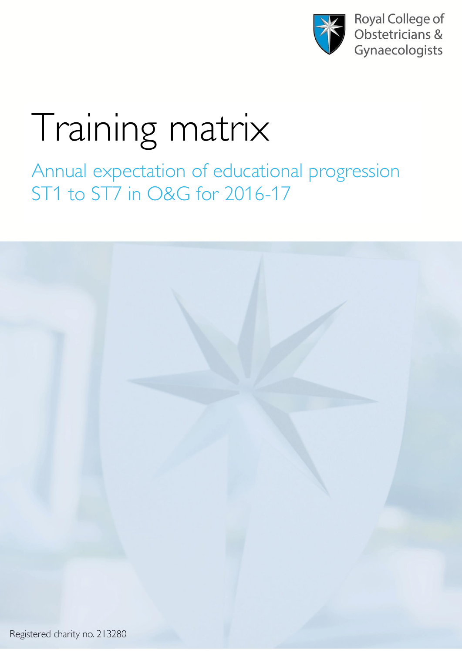

**Royal College of** Obstetricians & Gynaecologists

## Training matrix

Annual expectation of educational progression ST1 to ST7 in O&G for 2016-17

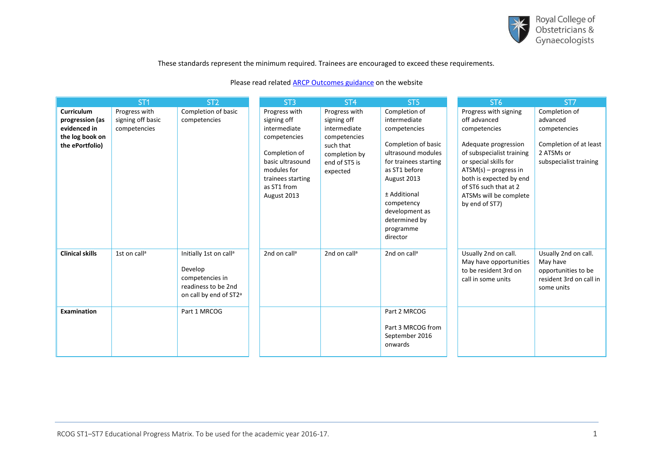

These standards represent the minimum required. Trainees are encouraged to exceed these requirements.

## Please read related **[ARCP Outcomes guidance](https://www.rcog.org.uk/en/careers-training/about-specialty-training-in-og/assessment-and-progression-through-training/arcp/advice-on-arcp-outcomes/)** on the website

|                                    | ST <sub>1</sub>          | ST <sub>2</sub>                                                                                                               | ST <sub>3</sub>                                                                                                     | ST <sub>4</sub>                                                         | ST <sub>5</sub>                                                                                                                                                                              | ST <sub>6</sub>                                                                                                                                                                                       | ST7                                                                                              |
|------------------------------------|--------------------------|-------------------------------------------------------------------------------------------------------------------------------|---------------------------------------------------------------------------------------------------------------------|-------------------------------------------------------------------------|----------------------------------------------------------------------------------------------------------------------------------------------------------------------------------------------|-------------------------------------------------------------------------------------------------------------------------------------------------------------------------------------------------------|--------------------------------------------------------------------------------------------------|
| <b>Curriculum</b>                  | Progress with            | Completion of basic                                                                                                           | Progress with                                                                                                       | Progress with                                                           | Completion of                                                                                                                                                                                | Progress with signing                                                                                                                                                                                 | Completion of                                                                                    |
| progression (as                    | signing off basic        | competencies                                                                                                                  | signing off                                                                                                         | signing off                                                             | intermediate                                                                                                                                                                                 | off advanced                                                                                                                                                                                          | advanced                                                                                         |
| evidenced in                       | competencies             |                                                                                                                               | intermediate                                                                                                        | intermediate                                                            | competencies                                                                                                                                                                                 | competencies                                                                                                                                                                                          | competencies                                                                                     |
| the log book on<br>the ePortfolio) |                          |                                                                                                                               | competencies<br>Completion of<br>basic ultrasound<br>modules for<br>trainees starting<br>as ST1 from<br>August 2013 | competencies<br>such that<br>completion by<br>end of ST5 is<br>expected | Completion of basic<br>ultrasound modules<br>for trainees starting<br>as ST1 before<br>August 2013<br>± Additional<br>competency<br>development as<br>determined by<br>programme<br>director | Adequate progression<br>of subspecialist training<br>or special skills for<br>$ATSM(s)$ – progress in<br>both is expected by end<br>of ST6 such that at 2<br>ATSMs will be complete<br>by end of ST7) | Completion of at least<br>2 ATSMs or<br>subspecialist training                                   |
| <b>Clinical skills</b>             | 1st on call <sup>a</sup> | Initially 1st on call <sup>a</sup><br>Develop<br>competencies in<br>readiness to be 2nd<br>on call by end of ST2 <sup>a</sup> | 2nd on call <sup>a</sup>                                                                                            | 2nd on call <sup>a</sup>                                                | 2nd on call <sup>a</sup>                                                                                                                                                                     | Usually 2nd on call.<br>May have opportunities<br>to be resident 3rd on<br>call in some units                                                                                                         | Usually 2nd on call.<br>May have<br>opportunities to be<br>resident 3rd on call in<br>some units |
| Examination                        |                          | Part 1 MRCOG                                                                                                                  |                                                                                                                     |                                                                         | Part 2 MRCOG<br>Part 3 MRCOG from<br>September 2016<br>onwards                                                                                                                               |                                                                                                                                                                                                       |                                                                                                  |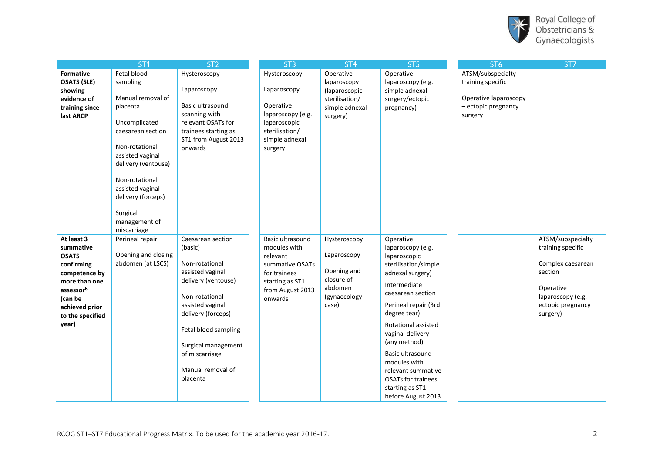

|                                                                                                                                                                | ST <sub>1</sub>                                                                                                                                                                                                                                                     | ST <sub>2</sub>                                                                                                                                                                                                                                         | ST <sub>3</sub>                                                                                                                   | ST <sub>4</sub>                                                                              | ST <sub>5</sub>                                                                                                                                                                                                                                                                                                                                                    | ST <sub>6</sub>                                                                                   | ST7                                                                                                                                       |
|----------------------------------------------------------------------------------------------------------------------------------------------------------------|---------------------------------------------------------------------------------------------------------------------------------------------------------------------------------------------------------------------------------------------------------------------|---------------------------------------------------------------------------------------------------------------------------------------------------------------------------------------------------------------------------------------------------------|-----------------------------------------------------------------------------------------------------------------------------------|----------------------------------------------------------------------------------------------|--------------------------------------------------------------------------------------------------------------------------------------------------------------------------------------------------------------------------------------------------------------------------------------------------------------------------------------------------------------------|---------------------------------------------------------------------------------------------------|-------------------------------------------------------------------------------------------------------------------------------------------|
| <b>Formative</b><br><b>OSATS (SLE)</b><br>showing<br>evidence of<br>training since<br>last ARCP                                                                | Fetal blood<br>sampling<br>Manual removal of<br>placenta<br>Uncomplicated<br>caesarean section<br>Non-rotational<br>assisted vaginal<br>delivery (ventouse)<br>Non-rotational<br>assisted vaginal<br>delivery (forceps)<br>Surgical<br>management of<br>miscarriage | Hysteroscopy<br>Laparoscopy<br>Basic ultrasound<br>scanning with<br>relevant OSATs for<br>trainees starting as<br>ST1 from August 2013<br>onwards                                                                                                       | Hysteroscopy<br>Laparoscopy<br>Operative<br>laparoscopy (e.g.<br>laparoscopic<br>sterilisation/<br>simple adnexal<br>surgery      | Operative<br>laparoscopy<br>(laparoscopic<br>sterilisation/<br>simple adnexal<br>surgery)    | Operative<br>laparoscopy (e.g.<br>simple adnexal<br>surgery/ectopic<br>pregnancy)                                                                                                                                                                                                                                                                                  | ATSM/subspecialty<br>training specific<br>Operative laparoscopy<br>- ectopic pregnancy<br>surgery |                                                                                                                                           |
| At least 3<br>summative<br><b>OSATS</b><br>confirming<br>competence by<br>more than one<br>assessorb<br>(can be<br>achieved prior<br>to the specified<br>year) | Perineal repair<br>Opening and closing<br>abdomen (at LSCS)                                                                                                                                                                                                         | Caesarean section<br>(basic)<br>Non-rotational<br>assisted vaginal<br>delivery (ventouse)<br>Non-rotational<br>assisted vaginal<br>delivery (forceps)<br>Fetal blood sampling<br>Surgical management<br>of miscarriage<br>Manual removal of<br>placenta | Basic ultrasound<br>modules with<br>relevant<br>summative OSATs<br>for trainees<br>starting as ST1<br>from August 2013<br>onwards | Hysteroscopy<br>Laparoscopy<br>Opening and<br>closure of<br>abdomen<br>(gynaecology<br>case) | Operative<br>laparoscopy (e.g.<br>laparoscopic<br>sterilisation/simple<br>adnexal surgery)<br>Intermediate<br>caesarean section<br>Perineal repair (3rd<br>degree tear)<br>Rotational assisted<br>vaginal delivery<br>(any method)<br>Basic ultrasound<br>modules with<br>relevant summative<br><b>OSATs for trainees</b><br>starting as ST1<br>before August 2013 |                                                                                                   | ATSM/subspecialty<br>training specific<br>Complex caesarean<br>section<br>Operative<br>laparoscopy (e.g.<br>ectopic pregnancy<br>surgery) |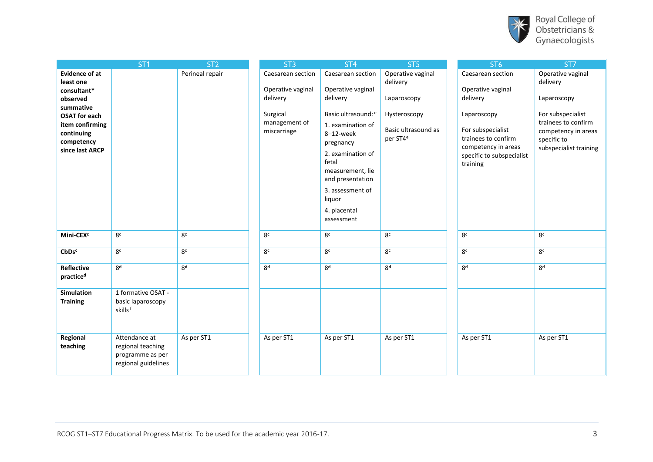

| Royal College of |
|------------------|
| Obstetricians &  |
| Gynaecologists   |

 $\lambda$ 

|                                                                                                                                                                      | ST <sub>1</sub>                                                               | ST <sub>2</sub> | ST <sub>3</sub>                                                                                | ST <sub>4</sub>                                                                                                                                                                                                                                            | ST <sub>5</sub>                                                                                             | ST <sub>6</sub>                                                                                                                                                               | ST7                                                                                                                                                      |
|----------------------------------------------------------------------------------------------------------------------------------------------------------------------|-------------------------------------------------------------------------------|-----------------|------------------------------------------------------------------------------------------------|------------------------------------------------------------------------------------------------------------------------------------------------------------------------------------------------------------------------------------------------------------|-------------------------------------------------------------------------------------------------------------|-------------------------------------------------------------------------------------------------------------------------------------------------------------------------------|----------------------------------------------------------------------------------------------------------------------------------------------------------|
| <b>Evidence of at</b><br>least one<br>consultant*<br>observed<br>summative<br><b>OSAT for each</b><br>item confirming<br>continuing<br>competency<br>since last ARCP |                                                                               | Perineal repair | Caesarean section<br>Operative vaginal<br>delivery<br>Surgical<br>management of<br>miscarriage | Caesarean section<br>Operative vaginal<br>delivery<br>Basic ultrasound: e<br>1. examination of<br>8-12-week<br>pregnancy<br>2. examination of<br>fetal<br>measurement, lie<br>and presentation<br>3. assessment of<br>liquor<br>4. placental<br>assessment | Operative vaginal<br>delivery<br>Laparoscopy<br>Hysteroscopy<br>Basic ultrasound as<br>per ST4 <sup>e</sup> | Caesarean section<br>Operative vaginal<br>delivery<br>Laparoscopy<br>For subspecialist<br>trainees to confirm<br>competency in areas<br>specific to subspecialist<br>training | Operative vaginal<br>delivery<br>Laparoscopy<br>For subspecialist<br>trainees to confirm<br>competency in areas<br>specific to<br>subspecialist training |
| Mini-CEX <sup>c</sup>                                                                                                                                                | 8 <sup>c</sup>                                                                | 8 <sup>c</sup>  | 8 <sup>c</sup>                                                                                 | 8 <sup>c</sup>                                                                                                                                                                                                                                             | 8 <sup>c</sup>                                                                                              | 8 <sup>c</sup>                                                                                                                                                                | 8 <sup>c</sup>                                                                                                                                           |
| CbDs <sup>c</sup>                                                                                                                                                    | 8 <sup>c</sup>                                                                | 8 <sup>c</sup>  | 8 <sup>c</sup>                                                                                 | 8 <sup>c</sup>                                                                                                                                                                                                                                             | 8 <sup>c</sup>                                                                                              | 8 <sup>c</sup>                                                                                                                                                                | 8 <sup>c</sup>                                                                                                                                           |
| Reflective<br>practice <sup>d</sup>                                                                                                                                  | 8 <sup>d</sup>                                                                | 8 <sup>d</sup>  | 8q                                                                                             | 8 <sup>d</sup>                                                                                                                                                                                                                                             | 8 <sup>d</sup>                                                                                              | 8 <sup>d</sup>                                                                                                                                                                | 8 <sup>d</sup>                                                                                                                                           |
| <b>Simulation</b><br><b>Training</b>                                                                                                                                 | 1 formative OSAT -<br>basic laparoscopy<br>skills <sup>f</sup>                |                 |                                                                                                |                                                                                                                                                                                                                                                            |                                                                                                             |                                                                                                                                                                               |                                                                                                                                                          |
| Regional<br>teaching                                                                                                                                                 | Attendance at<br>regional teaching<br>programme as per<br>regional guidelines | As per ST1      | As per ST1                                                                                     | As per ST1                                                                                                                                                                                                                                                 | As per ST1                                                                                                  | As per ST1                                                                                                                                                                    | As per ST1                                                                                                                                               |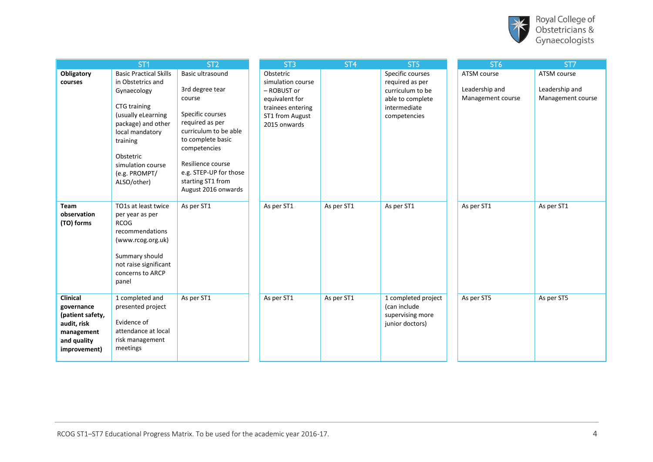

|                                                                                                        | ST <sub>1</sub>                                                                                                                                                                                                                | ST <sub>2</sub>                                                                                                                                                                                                                               | ST <sub>3</sub>                                                                                                         | ST <sub>4</sub> | ST <sub>5</sub>                                                                                             | ST <sub>6</sub>                                    | ST7                                                |
|--------------------------------------------------------------------------------------------------------|--------------------------------------------------------------------------------------------------------------------------------------------------------------------------------------------------------------------------------|-----------------------------------------------------------------------------------------------------------------------------------------------------------------------------------------------------------------------------------------------|-------------------------------------------------------------------------------------------------------------------------|-----------------|-------------------------------------------------------------------------------------------------------------|----------------------------------------------------|----------------------------------------------------|
| Obligatory<br>courses                                                                                  | <b>Basic Practical Skills</b><br>in Obstetrics and<br>Gynaecology<br>CTG training<br>(usually eLearning<br>package) and other<br>local mandatory<br>training<br>Obstetric<br>simulation course<br>(e.g. PROMPT/<br>ALSO/other) | Basic ultrasound<br>3rd degree tear<br>course<br>Specific courses<br>required as per<br>curriculum to be able<br>to complete basic<br>competencies<br>Resilience course<br>e.g. STEP-UP for those<br>starting ST1 from<br>August 2016 onwards | Obstetric<br>simulation course<br>- ROBUST or<br>equivalent for<br>trainees entering<br>ST1 from August<br>2015 onwards |                 | Specific courses<br>required as per<br>curriculum to be<br>able to complete<br>intermediate<br>competencies | ATSM course<br>Leadership and<br>Management course | ATSM course<br>Leadership and<br>Management course |
| <b>Team</b><br>observation<br>(TO) forms                                                               | TO1s at least twice<br>per year as per<br><b>RCOG</b><br>recommendations<br>(www.rcog.org.uk)<br>Summary should<br>not raise significant<br>concerns to ARCP<br>panel                                                          | As per ST1                                                                                                                                                                                                                                    | As per ST1                                                                                                              | As per ST1      | As per ST1                                                                                                  | As per ST1                                         | As per ST1                                         |
| Clinical<br>governance<br>(patient safety,<br>audit, risk<br>management<br>and quality<br>improvement) | 1 completed and<br>presented project<br>Evidence of<br>attendance at local<br>risk management<br>meetings                                                                                                                      | As per ST1                                                                                                                                                                                                                                    | As per ST1                                                                                                              | As per ST1      | 1 completed project<br>(can include<br>supervising more<br>junior doctors)                                  | As per ST5                                         | As per ST5                                         |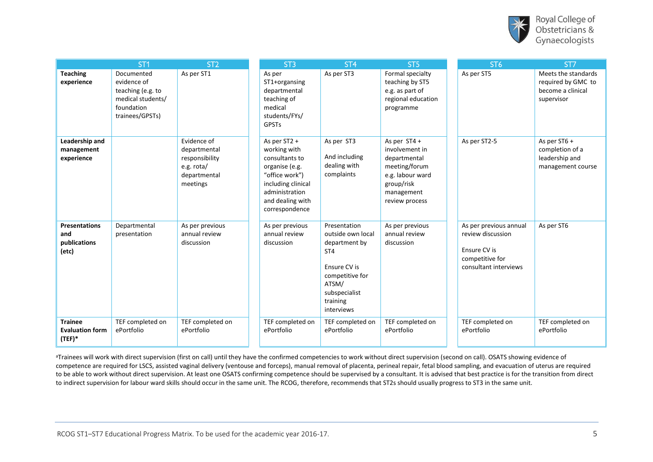

|                                                      | ST <sub>1</sub>                                                                                      | ST <sub>2</sub>                                                                         | ST <sub>3</sub>                                                                                                                                                  | ST <sub>4</sub>                                                                                                                                              | ST <sub>5</sub>                                                                                                                     | ST <sub>6</sub>                                                                                         | ST7                                                                          |
|------------------------------------------------------|------------------------------------------------------------------------------------------------------|-----------------------------------------------------------------------------------------|------------------------------------------------------------------------------------------------------------------------------------------------------------------|--------------------------------------------------------------------------------------------------------------------------------------------------------------|-------------------------------------------------------------------------------------------------------------------------------------|---------------------------------------------------------------------------------------------------------|------------------------------------------------------------------------------|
| <b>Teaching</b><br>experience                        | Documented<br>evidence of<br>teaching (e.g. to<br>medical students/<br>foundation<br>trainees/GPSTs) | As per ST1                                                                              | As per<br>ST1+organsing<br>departmental<br>teaching of<br>medical<br>students/FYs/<br><b>GPSTs</b>                                                               | As per ST3                                                                                                                                                   | Formal specialty<br>teaching by ST5<br>e.g. as part of<br>regional education<br>programme                                           | As per ST5                                                                                              | Meets the standards<br>required by GMC to<br>become a clinical<br>supervisor |
| Leadership and<br>management<br>experience           |                                                                                                      | Evidence of<br>departmental<br>responsibility<br>e.g. rota/<br>departmental<br>meetings | As per ST2 +<br>working with<br>consultants to<br>organise (e.g.<br>"office work")<br>including clinical<br>administration<br>and dealing with<br>correspondence | As per ST3<br>And including<br>dealing with<br>complaints                                                                                                    | As per $ST4 +$<br>involvement in<br>departmental<br>meeting/forum<br>e.g. labour ward<br>group/risk<br>management<br>review process | As per ST2-5                                                                                            | As per ST6 +<br>completion of a<br>leadership and<br>management course       |
| <b>Presentations</b><br>and<br>publications<br>(etc) | Departmental<br>presentation                                                                         | As per previous<br>annual review<br>discussion                                          | As per previous<br>annual review<br>discussion                                                                                                                   | Presentation<br>outside own local<br>department by<br>ST <sub>4</sub><br>Ensure CV is<br>competitive for<br>ATSM/<br>subspecialist<br>training<br>interviews | As per previous<br>annual review<br>discussion                                                                                      | As per previous annual<br>review discussion<br>Ensure CV is<br>competitive for<br>consultant interviews | As per ST6                                                                   |
| <b>Trainee</b><br><b>Evaluation form</b><br>$(TEF)*$ | TEF completed on<br>ePortfolio                                                                       | TEF completed on<br>ePortfolio                                                          | TEF completed on<br>ePortfolio                                                                                                                                   | TEF completed on<br>ePortfolio                                                                                                                               | TEF completed on<br>ePortfolio                                                                                                      | TEF completed on<br>ePortfolio                                                                          | TEF completed on<br>ePortfolio                                               |

aTrainees will work with direct supervision (first on call) until they have the confirmed competencies to work without direct supervision (second on call). OSATS showing evidence of competence are required for LSCS, assisted vaginal delivery (ventouse and forceps), manual removal of placenta, perineal repair, fetal blood sampling, and evacuation of uterus are required to be able to work without direct supervision. At least one OSATS confirming competence should be supervised by a consultant. It is advised that best practice is for the transition from direct to indirect supervision for labour ward skills should occur in the same unit. The RCOG, therefore, recommends that ST2s should usually progress to ST3 in the same unit.